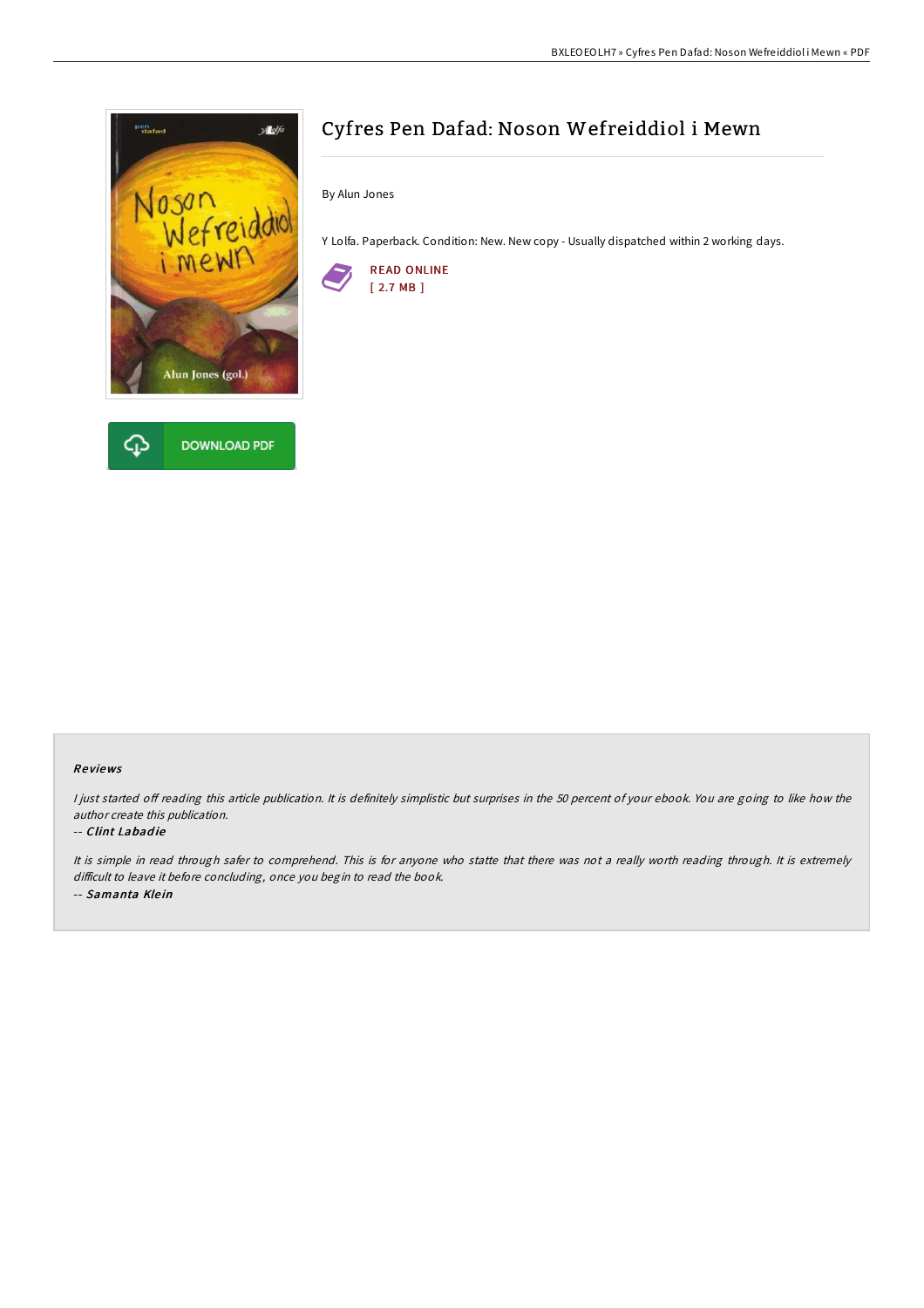

# Cyfres Pen Dafad: Noson Wefreiddiol i Mewn

By Alun Jones

Y Lolfa. Paperback. Condition: New. New copy - Usually dispatched within 2 working days.



### Re views

I just started off reading this article publication. It is definitely simplistic but surprises in the 50 percent of your ebook. You are going to like how the author create this publication.

#### -- Clint Labadie

It is simple in read through safer to comprehend. This is for anyone who statte that there was not <sup>a</sup> really worth reading through. It is extremely difficult to leave it before concluding, once you begin to read the book. -- Samanta Klein